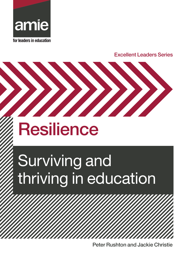

Excellent Leaders Series



# **Resilience**

## Surviving and thriving in education

Peter Rushton and Jackie Christie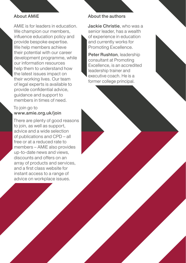#### About AMiE

AMiE is for leaders in education. We champion our members. influence education policy and provide bespoke expertise. We help members achieve their potential with our career development programme, while our information resources help them to understand how the latest issues impact on their working lives. Our team of legal experts is available to provide confidential advice, guidance and support to members in times of need.

#### To join go to www.amie.org.uk/join

There are plenty of good reasons to join, as well as support, advice and a wide selection of publications and CPD – all free or at a reduced rate to members – AMiE also provides up-to-date news and views, discounts and offers on an array of products and services, and a first class website for instant access to a range of advice on workplace issues.

#### About the authors

Jackie Christie, who was a senior leader, has a wealth of experience in education and currently works for Promoting Excellence.

Peter Rushton, leadership consultant at Promoting Excellence, is an accredited leadership trainer and executive coach. He is a former college principal.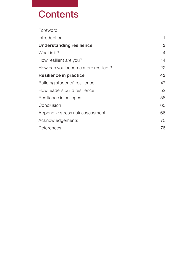## **Contents**

| Foreword                           | ii |
|------------------------------------|----|
| Introduction                       | 1  |
| Understanding resilience           | 3  |
| What is it?                        | 4  |
| How resilient are you?             | 14 |
| How can you become more resilient? | 22 |
| Resilience in practice             | 43 |
| Building students' resilience      | 47 |
| How leaders build resilience       | 52 |
| Resilience in colleges             | 58 |
| Conclusion                         | 65 |
| Appendix: stress risk assessment   | 66 |
| Acknowledgements                   | 75 |
| References                         | 76 |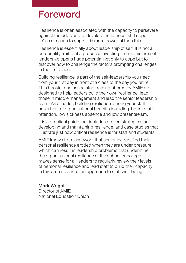## Foreword

Resilience is often associated with the capacity to persevere against the odds and to develop the famous 'stiff upper lip' as a means to cope. It is more powerful than this.

Resilience is essentially about leadership of self. It is not a personality trait, but a process. Investing time in this area of leadership opens huge potential not only to cope but to discover how to challenge the factors prompting challenges in the first place.

Building resilience is part of the self-leadership you need from your first day in front of a class to the day you retire. This booklet and associated training offered by AMiE are designed to help leaders build their own resilience, lead those in middle management and lead the senior leadership team. As a leader, building resilience among your staff has a host of organisational benefits including better staff retention, low sickness absence and low presenteeism.

It is a practical guide that includes proven strategies for developing and maintaining resilience, and case studies that illustrate just how critical resilience is for staff and students.

AMiE knows from casework that senior leaders find their personal resilience eroded when they are under pressure, which can result in leadership problems that undermine the organisational resilience of the school or college. It makes sense for all leaders to regularly review their levels of personal resilience and lead staff to build their capacity in this area as part of an approach to staff well-being.

#### Mark Wright

Director of AMiE National Education Union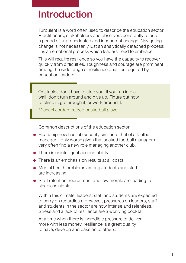## Introduction

Turbulent is a word often used to describe the education sector. Practitioners, stakeholders and observers constantly refer to a period of unprecedented and incoherent change. Navigating change is not necessarily just an analytically detached process; it is an emotional process which leaders need to embrace.

This will require resilience so you have the capacity to recover quickly from difficulties. Toughness and courage are prominent among the wide range of resilience qualities required by education leaders.

Obstacles don't have to stop you. If you run into a wall, don't turn around and give up. Figure out how to climb it, go through it, or work around it.

Michael Jordan, retired basketball player

Common descriptions of the education sector.

- Headship now has job security similar to that of a football manager – only worse given that sacked football managers very often find a new role managing another club.
- There is unintelligent accountability.
- $\bullet$  There is an emphasis on results at all costs.
- Mental health problems among students and staff are increasing.
- Staff retention, recruitment and low morale are leading to sleepless nights.

Within this climate, leaders, staff and students are expected to carry on regardless. However, pressures on leaders, staff and students in the sector are now intense and relentless. Stress and a lack of resilience are a worrying cocktail.

At a time when there is incredible pressure to deliver more with less money, resilience is a great quality to have, develop and pass on to others.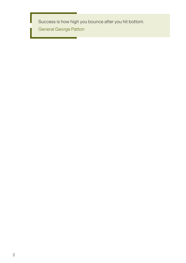Success is how high you bounce after you hit bottom.

General George Patton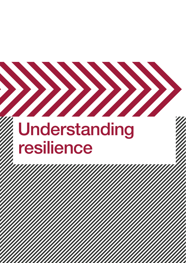# **Understanding** resilience

3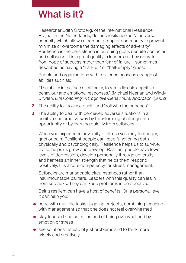## What is it?

Researcher Edith Grotberg, of the International Resilience Project in the Netherlands, defines resilience as "a universal capacity which allows a person, group or community to prevent, minimize or overcome the damaging effects of adversity". Resilience is the persistence in pursuing goals despite obstacles and setbacks. It is a great quality in leaders as they operate from hope of success rather than fear of failure – sometimes described as having a "half-full" or "half-empty" glass.

People and organisations with resilience possess a range of abilities such as:

- 1 "The ability in the face of difficulty, to retain flexible cognitive behaviour and emotional responses." (Michael Neenan and Windy Dryden, *Life Coaching: A Cognitive-Behavioural Approach*, (2002)
- 2 The ability to "bounce back" and "roll with the punches".
- **3** The ability to deal with perceived adverse situations in a positive and creative way by transforming challenge into opportunity or by learning quickly from setbacks.

When you experience adversity or stress you may feel anger. grief or pain. Resilient people can keep functioning both physically and psychologically. Resilience helps us to survive. It also helps us grow and develop. Resilient people have lower levels of depression, develop personally through adversity, and harness an inner strength that helps them respond positively. It is a core competency for stress management.

Setbacks are manageable circumstances rather than insurmountable barriers. Leaders with this quality can learn from setbacks. They can keep problems in perspective.

Being resilient can have a host of benefits. On a personal level it can help you:

- cope with multiple tasks, juggling projects, combining teaching with management so that one does not feel overwhelmed
- stay focused and calm, instead of being overwhelmed by emotion or stress
- see solutions instead of just problems and to think more widely and creatively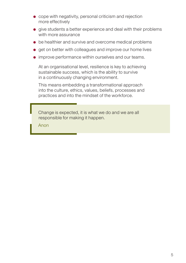- cope with negativity, personal criticism and rejection more effectively
- give students a better experience and deal with their problems with more assurance
- be healthier and survive and overcome medical problems
- get on better with colleagues and improve our home lives
- improve performance within ourselves and our teams.

At an organisational level, resilience is key to achieving sustainable success, which is the ability to survive in a continuously changing environment.

This means embedding a transformational approach into the culture, ethics, values, beliefs, processes and practices and into the mindset of the workforce.

Change is expected, it is what we do and we are all responsible for making it happen.

Anon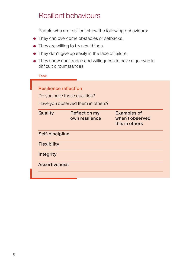## Resilient behaviours

People who are resilient show the following behaviours:

- They can overcome obstacles or setbacks.
- $\bullet$  They are willing to try new things.
- They don't give up easily in the face of failure.
- They show confidence and willingness to have a go even in difficult circumstances.

#### Task

|                      | Do you have these qualities?      |                                                         |
|----------------------|-----------------------------------|---------------------------------------------------------|
|                      | Have you observed them in others? |                                                         |
| Quality              | Reflect on my<br>own resilience   | <b>Examples of</b><br>when I observed<br>this in others |
| Self-discipline      |                                   |                                                         |
| <b>Flexibility</b>   |                                   |                                                         |
| <b>Integrity</b>     |                                   |                                                         |
| <b>Assertiveness</b> |                                   |                                                         |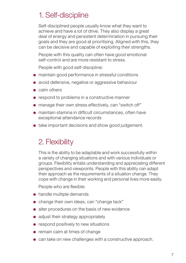## 1. Self-discipline

Self-disciplined people usually know what they want to achieve and have a lot of drive. They also display a great deal of energy and persistent determination in pursuing their goals and they are good at prioritising. Aligned with this, they can be decisive and capable of exploiting their strengths.

People with this quality can often have good emotional self-control and are more resistant to stress.

People with good self-discipline:

- maintain good performance in stressful conditions
- avoid defensive, negative or aggressive behaviour
- calm others
- respond to problems in a constructive manner
- manage their own stress effectively, can "switch off"
- maintain stamina in difficult circumstances, often have exceptional attendance records
- take important decisions and show good judgement.

## 2. Flexibility

This is the ability to be adaptable and work successfully within a variety of changing situations and with various individuals or groups. Flexibility entails understanding and appreciating different perspectives and viewpoints. People with this ability can adapt their approach as the requirements of a situation change. They cope with change in their working and personal lives more easily.

People who are flexible:

- handle multiple demands
- change their own ideas, can "change tack"
- alter procedures on the basis of new evidence
- adjust their strategy appropriately
- respond positively to new situations
- remain calm at times of change
- can take on new challenges with a constructive approach.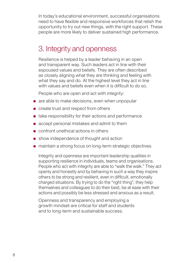In today's educational environment, successful organisations need to have flexible and responsive workforces that relish the opportunity to try out new things, with the right support. These people are more likely to deliver sustained high performance.

### 3. Integrity and openness

Resilience is helped by a leader behaving in an open and transparent way. Such leaders act in line with their espoused values and beliefs. They are often described as closely aligning what they are thinking and feeling with what they say and do. At the highest level they act in line with values and beliefs even when it is difficult to do so.

People who are open and act with integrity:

- are able to make decisions, even when unpopular
- create trust and respect from others
- take responsibility for their actions and performance
- accept personal mistakes and admit to them
- confront unethical actions in others
- show independence of thought and action
- maintain a strong focus on long-term strategic objectives.

Integrity and openness are important leadership qualities in supporting resilience in individuals, teams and organisations. People who act with integrity are able to "walk the walk." They act openly and honestly and by behaving in such a way they inspire others to be strong and resilient, even in difficult, emotionally charged situations. By trying to do the "right thing", they help themselves and colleagues to do their best, be at ease with their actions and possibly be less stressed and anxious as a result.

Openness and transparency and employing a growth mindset are critical for staff and students and to long-term and sustainable success.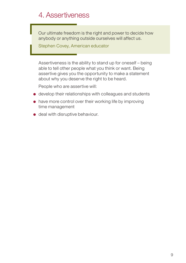## 4. Assertiveness

Our ultimate freedom is the right and power to decide how anybody or anything outside ourselves will affect us.

Stephen Covey, American educator

Assertiveness is the ability to stand up for oneself – being able to tell other people what you think or want. Being assertive gives you the opportunity to make a statement about why you deserve the right to be heard.

People who are assertive will:

- develop their relationships with colleagues and students
- have more control over their working life by improving time management
- deal with disruptive behaviour.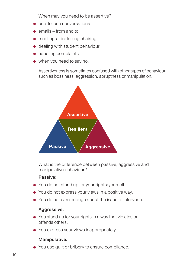When may you need to be assertive?

- one-to-one conversations
- $\bullet$  emails from and to
- $\bullet$  meetings including chairing
- dealing with student behaviour
- handling complaints
- when you need to say no.

Assertiveness is sometimes confused with other types of behaviour such as bossiness, aggression, abruptness or manipulation.



What is the difference between passive, aggressive and manipulative behaviour?

#### Passive:

- You do not stand up for your rights/yourself.
- You do not express your views in a positive way.
- You do not care enough about the issue to intervene.

#### Aggressive:

- You stand up for your rights in a way that violates or offends others.
- You express your views inappropriately.

#### Manipulative:

● You use guilt or bribery to ensure compliance.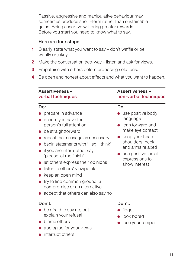Passive, aggressive and manipulative behaviour may sometimes produce short–term rather than sustainable gains. Being assertive will bring greater rewards. Before you start you need to know what to say.

#### Here are four steps:

- 1 Clearly state what you want to say don't waffle or be woolly or jokey.
- 2 Make the conversation two-way listen and ask for views.
- **3** Empathise with others before proposing solutions.
- 4 Be open and honest about effects and what you want to happen.

| Assertiveness-<br>verbal techniques                                                                                                                                                                                                                                                                                                                                                                                                     | Assertiveness-<br>non-verbal techniques                                                                                                                                                          |
|-----------------------------------------------------------------------------------------------------------------------------------------------------------------------------------------------------------------------------------------------------------------------------------------------------------------------------------------------------------------------------------------------------------------------------------------|--------------------------------------------------------------------------------------------------------------------------------------------------------------------------------------------------|
| Do:<br>prepare in advance<br>ensure you have the<br>person's full attention<br>be straightforward<br>repeat the message as necessary<br>begin statements with 'I' eg' I think'<br>if you are interrupted, say<br>'please let me finish'<br>let others express their opinions<br>listen to others' viewpoints<br>keep an open mind<br>try to find common ground, a<br>compromise or an alternative<br>accept that others can also say no | Do:<br>use positive body<br>language<br>lean forward and<br>make eye contact<br>keep your head,<br>shoulders, neck<br>and arms relaxed<br>use positive facial<br>expressions to<br>show interest |
| Don't:<br>be afraid to say no, but<br>explain your refusal<br>blame others<br>apologise for your views<br>interrupt others                                                                                                                                                                                                                                                                                                              | Don't:<br>fidget<br>look bored<br>lose your temper                                                                                                                                               |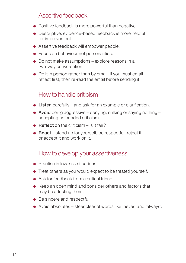#### Assertive feedback

- Positive feedback is more powerful than negative.
- Descriptive, evidence-based feedback is more helpful for improvement.
- Assertive feedback will empower people.
- Focus on behaviour not personalities.
- Do not make assumptions explore reasons in a two-way conversation.
- $\bullet$  Do it in person rather than by email. If you must email  $$ reflect first, then re-read the email before sending it.

#### How to handle criticism

- Listen carefully and ask for an example or clarification.
- $\bullet$  Avoid being aggressive denying, sulking or saying nothing accepting unfounded criticism.
- $\bullet$  Reflect on the criticism is it fair?
- React stand up for yourself, be respectful, reject it, or accept it and work on it.

#### How to develop your assertiveness

- Practise in low-risk situations.
- Treat others as you would expect to be treated yourself.
- Ask for feedback from a critical friend.
- Keep an open mind and consider others and factors that may be affecting them.
- Be sincere and respectful.
- Avoid absolutes steer clear of words like 'never' and 'always'.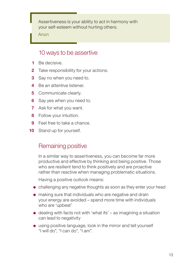Assertiveness is your ability to act in harmony with your self-esteem without hurting others.

Anon

#### 10 ways to be assertive

- 1 Be decisive.
- 2 Take responsibility for your actions.
- 3 Say no when you need to.
- 4 Be an attentive listener
- **5** Communicate clearly.
- **6** Say yes when you need to.
- 7 Ask for what you want.
- 8 Follow your intuition.
- **9** Feel free to take a chance.
- **10** Stand up for yourself.

#### Remaining positive

In a similar way to assertiveness, you can become far more productive and effective by thinking and being positive. Those who are resilient tend to think positively and are proactive rather than reactive when managing problematic situations.

Having a positive outlook means:

- challenging any negative thoughts as soon as they enter your head
- making sure that individuals who are negative and drain your energy are avoided – spend more time with individuals who are 'upbeat'
- dealing with facts not with 'what ifs' as imagining a situation can lead to negativity
- using positive language, look in the mirror and tell yourself "I will do", "I can do", "I am".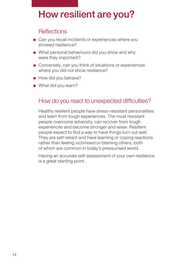## How resilient are you?

#### **Reflections**

- Can you recall incidents or experiences where you showed resilience?
- What personal behaviours did you show and why were they important?
- Conversely, can you think of situations or experiences where you did not show resilience?
- How did you behave?
- What did you learn?

#### How do you react to unexpected difficulties?

Healthy resilient people have stress-resistant personalities and learn from tough experiences. The most resistant people overcome adversity, can recover from tough experiences and become stronger and wiser. Resilient people expect to find a way to have things turn out well. They are self-reliant and have learning or coping reactions rather than feeling victimised or blaming others, both of which are common in today's pressurised world.

Having an accurate self-assessment of your own resilience is a great starting point.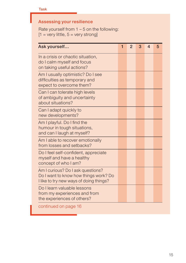#### Assessing your resilience

Rate yourself from 1 – 5 on the following:  $[1 = \text{very little}, 5 = \text{very strong}]$ 

| Ask yourself                                                                                                          | 1 | $\mathfrak{p}$ | 3 | 4 | 5 |
|-----------------------------------------------------------------------------------------------------------------------|---|----------------|---|---|---|
| In a crisis or chaotic situation,<br>do I calm myself and focus<br>on taking useful actions?                          |   |                |   |   |   |
| Am I usually optimistic? Do I see<br>difficulties as temporary and<br>expect to overcome them?                        |   |                |   |   |   |
| Can I can tolerate high levels<br>of ambiguity and uncertainty<br>about situations?                                   |   |                |   |   |   |
| Can I adapt quickly to<br>new developments?                                                                           |   |                |   |   |   |
| Am I playful. Do I find the<br>humour in tough situations,<br>and can I laugh at myself?                              |   |                |   |   |   |
| Am I able to recover emotionally<br>from losses and setbacks?                                                         |   |                |   |   |   |
| Do I feel self-confident, appreciate<br>myself and have a healthy<br>concept of who I am?                             |   |                |   |   |   |
| Am I curious? Do I ask questions?<br>Do I want to know how things work? Do<br>I like to try new ways of doing things? |   |                |   |   |   |
| Do I learn valuable lessons<br>from my experiences and from<br>the experiences of others?                             |   |                |   |   |   |
| continued on page 16                                                                                                  |   |                |   |   |   |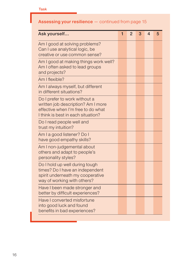#### Assessing your resilience — continued from page 15

| Ask yourself                                                                                                                                    | 1 | $\mathfrak{p}$ | 3 | $\overline{\mathbf{A}}$ | 5 |
|-------------------------------------------------------------------------------------------------------------------------------------------------|---|----------------|---|-------------------------|---|
| Am I good at solving problems?<br>Can I use analytical logic, be<br>creative or use common sense?                                               |   |                |   |                         |   |
| Am I good at making things work well?<br>Am I often asked to lead groups<br>and projects?                                                       |   |                |   |                         |   |
| Am I flexible?                                                                                                                                  |   |                |   |                         |   |
| Am I always myself, but different<br>in different situations?                                                                                   |   |                |   |                         |   |
| Do I prefer to work without a<br>written job description? Am I more<br>effective when I'm free to do what<br>I think is best in each situation? |   |                |   |                         |   |
| Do I read people well and<br>trust my intuition?                                                                                                |   |                |   |                         |   |
| Am I a good listener? Do I<br>have good empathy skills?                                                                                         |   |                |   |                         |   |
| Am I non-judgemental about<br>others and adapt to people's<br>personality styles?                                                               |   |                |   |                         |   |
| Do I hold up well during tough<br>times? Do I have an independent<br>spirit underneath my cooperative<br>way of working with others?            |   |                |   |                         |   |
| Have I been made stronger and<br>better by difficult experiences?                                                                               |   |                |   |                         |   |
| Have I converted misfortune<br>into good luck and found<br>benefits in bad experiences?                                                         |   |                |   |                         |   |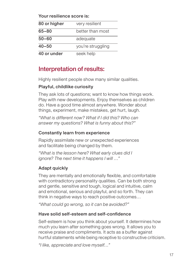Your resilience score is:

| 80 or higher | very resilient    |
|--------------|-------------------|
| $65 - 80$    | better than most  |
| $50 - 60$    | adequate          |
| $40 - 50$    | you're struggling |
| 40 or under  | seek help         |

#### Interpretation of results:

Highly resilient people show many similar qualities.

#### Playful, childlike curiosity

They ask lots of questions; want to know how things work. Play with new developments. Enjoy themselves as children do. Have a good time almost anywhere. Wonder about things, experiment, make mistakes, get hurt, laugh.

*"What is different now? What if I did this? Who can answer my questions? What is funny about this?"*

#### Constantly learn from experience

Rapidly assimilate new or unexpected experiences and facilitate being changed by them.

*"What is the lesson here? What early clues did I ignore? The next time it happens I will …"*

#### Adapt quickly

They are mentally and emotionally flexible, and comfortable with contradictory personality qualities. Can be both strong and gentle, sensitive and tough, logical and intuitive, calm and emotional, serious and playful, and so forth. They can think in negative ways to reach positive outcomes…

*"What could go wrong, so it can be avoided?"*

#### Have solid self-esteem and self-confidence

Self-esteem is how you think about yourself. It determines how much you learn after something goes wrong. It allows you to receive praise and compliments. It acts as a buffer against hurtful statements while being receptive to constructive criticism.

*"I like, appreciate and love myself…"*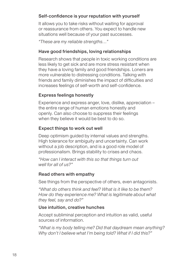#### Self-confidence is your reputation with yourself

It allows you to take risks without waiting for approval or reassurance from others. You expect to handle new situations well because of your past successes.

*"These are my reliable strengths…"*

#### Have good friendships, loving relationships

Research shows that people in toxic working conditions are less likely to get sick and are more stress resistant when they have a loving family and good friendships. Loners are more vulnerable to distressing conditions. Talking with friends and family diminishes the impact of difficulties and increases feelings of self-worth and self-confidence.

#### Express feelings honestly

Experience and express anger, love, dislike, appreciation – the entire range of human emotions honestly and openly. Can also choose to suppress their feelings when they believe it would be best to do so.

#### Expect things to work out well

Deep optimism guided by internal values and strengths. High tolerance for ambiguity and uncertainty. Can work without a job description, and is a good role model of professionalism. Brings stability to crises and chaos.

*"How can I interact with this so that things turn out well for all of us?"*

#### Read others with empathy

See things from the perspective of others, even antagonists.

*"What do others think and feel? What is it like to be them? How do they experience me? What is legitimate about what they feel, say and do?"*

#### Use intuition, creative hunches

Accept subliminal perception and intuition as valid, useful sources of information.

*"What is my body telling me? Did that daydream mean anything? Why don't I believe what I'm being told? What if I did this?"*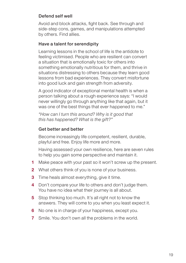#### Defend self well

Avoid and block attacks, fight back. See through and side-step cons, games, and manipulations attempted by others. Find allies.

#### Have a talent for serendipity

Learning lessons in the school of life is the antidote to feeling victimised. People who are resilient can convert a situation that is emotionally toxic for others into something emotionally nutritious for them, and thrive in situations distressing to others because they learn good lessons from bad experiences. They convert misfortune into good luck and gain strength from adversity.

A good indicator of exceptional mental health is when a person talking about a rough experience says: "I would never willingly go through anything like that again, but it was one of the best things that ever happened to me."

*"How can I turn this around? Why is it good that this has happened? What is the gift?"*

#### Get better and better

Become increasingly life competent, resilient, durable, playful and free. Enjoy life more and more.

Having assessed your own resilience, here are seven rules to help you gain some perspective and maintain it.

- 1 Make peace with your past so it won't screw up the present.
- **2** What others think of you is none of your business.
- **3** Time heals almost everything, give it time.
- 4 Don't compare your life to others and don't judge them. You have no idea what their journey is all about.
- 5 Stop thinking too much. It's all right not to know the answers. They will come to you when you least expect it.
- **6** No one is in charge of your happiness, except you.
- **7** Smile. You don't own all the problems in the world.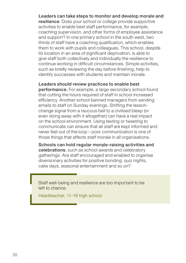Leaders can take steps to monitor and develop morale and resilience. Does your school or college provide supportive activities to enable best staff performance, for example, coaching supervision, and other forms of employee assistance and support? In one primary school in the south west, two thirds of staff have a coaching qualification, which enables them to work with pupils and colleagues. This school, despite its location in an area of significant deprivation, is able to give staff both collectively and individually the resilience to continue working in difficult circumstances. Simple activities, such as briefly reviewing the day before finishing, help to identify successes with students and maintain morale.

#### Leaders should review practices to enable best

performance. For example, a large secondary school found that cutting the hours required of staff in school increased efficiency. Another school banned managers from sending emails to staff on Sunday evenings. Shifting the lessonchange signal from a raucous bell to a civilised bleep (or even doing away with it altogether) can have a real impact on the school environment. Using texting or tweeting to communicate can ensure that all staff are kept informed and never feel out of the loop – poor communication is one of those things that affects staff morale in all organisations.

Schools can hold regular morale-raising activities and celebrations, such as school awards and celebratory gatherings. Are staff encouraged and enabled to organise diversionary activities for positive bonding: quiz nights, cake days, seasonal entertainment and so on?

Staff well-being and resilience are too important to be left to chance.

Headteacher, 11–18 high school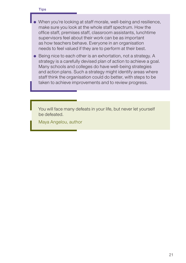- When you're looking at staff morale, well-being and resilience, make sure you look at the whole staff spectrum. How the office staff, premises staff, classroom assistants, lunchtime supervisors feel about their work can be as important as how teachers behave. Everyone in an organisation needs to feel valued if they are to perform at their best.
- Being nice to each other is an exhortation, not a strategy. A strategy is a carefully devised plan of action to achieve a goal. Many schools and colleges do have well-being strategies and action plans. Such a strategy might identify areas where staff think the organisation could do better, with steps to be taken to achieve improvements and to review progress.

You will face many defeats in your life, but never let yourself be defeated.

Maya Angelou, author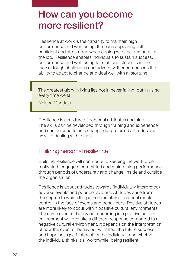## How can you become more resilient?

Resilience at work is the capacity to maintain high performance and well-being. It means appearing selfconfident and stress-free when coping with the demands of the job. Resilience enables individuals to sustain success, performance and well-being for staff and students in the face of tough challenges and adversity. It encompasses the ability to adapt to change and deal well with misfortune.

The greatest glory in living lies not in never falling, but in rising every time we fall.

Nelson Mandela

Resilience is a mixture of personal attributes and skills. The skills can be developed through training and experience and can be used to help change our preferred attitudes and ways of dealing with things.

#### Building personal resilience

Building resilience will contribute to keeping the workforce motivated, engaged, committed and maintaining performance through periods of uncertainty and change, inside and outside the organisation.

Resilience is about attitudes towards (individually interpreted) adverse events and poor behaviours. Attitudes arise from the degree to which the person maintains personal mental control in the face of events and behaviours. Positive attitudes are more likely to occur within positive cultural environments. The same event or behaviour occurring in a positive cultural environment will provoke a different response compared to a negative cultural environment. It depends on the interpretation of how the event or behaviour will affect the future success, and happiness (self-interest) of the individual, and whether the individual thinks it's 'worthwhile' being resilient.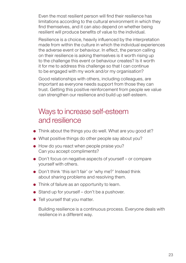Even the most resilient person will find their resilience has limitations according to the cultural environment in which they find themselves, and it can also depend on whether being resilient will produce benefits of value to the individual.

Resilience is a choice, heavily influenced by the interpretation made from within the culture in which the individual experiences the adverse event or behaviour. In effect, the person calling on their resilience is asking themselves is it worth rising up to the challenge this event or behaviour creates? Is it worth it for me to address this challenge so that I can continue to be engaged with my work and/or my organisation?

Good relationships with others, including colleagues, are important as everyone needs support from those they can trust. Getting this positive reinforcement from people we value can strengthen our resilience and build up self-esteem.

## Ways to increase self-esteem and resilience

- Think about the things you do well. What are you good at?
- What positive things do other people say about you?
- How do you react when people praise you? Can you accept compliments?
- Don't focus on negative aspects of yourself or compare yourself with others.
- Don't think 'this isn't fair' or 'why me?' Instead think about sharing problems and resolving them.
- Think of failure as an opportunity to learn.
- Stand up for yourself don't be a pushover.
- Tell yourself that you matter.

Building resilience is a continuous process. Everyone deals with resilience in a different way.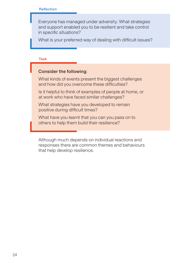#### Reflection

Everyone has managed under adversity. What strategies and support enabled you to be resilient and take control in specific situations?

What is your preferred way of dealing with difficult issues?

#### Task

#### Consider the following:

What kinds of events present the biggest challenges and how did you overcome these difficulties?

Is it helpful to think of examples of people at home, or at work who have faced similar challenges?

What strategies have you developed to remain positive during difficult times?

What have you learnt that you can you pass on to others to help them build their resilience?

Although much depends on individual reactions and responses there are common themes and behaviours that help develop resilience.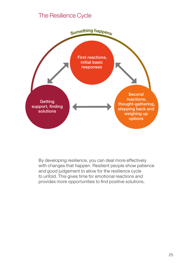#### The Resilience Cycle



By developing resilience, you can deal more effectively with changes that happen. Resilient people show patience and good judgement to allow for the resilience cycle to unfold. This gives time for emotional reactions and provides more opportunities to find positive solutions.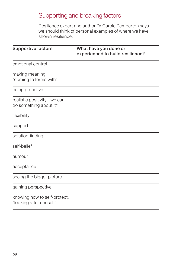#### Supporting and breaking factors

Resilience expert and author Dr Carole Pemberton says we should think of personal examples of where we have shown resilience.

| <b>Supportive factors</b>                               | What have you done or<br>experienced to build resilience? |
|---------------------------------------------------------|-----------------------------------------------------------|
| emotional control                                       |                                                           |
| making meaning,<br>"coming to terms with"               |                                                           |
| being proactive                                         |                                                           |
| realistic positivity, "we can<br>do something about it" |                                                           |
| flexibility                                             |                                                           |
| support                                                 |                                                           |
| solution-finding                                        |                                                           |
| self-belief                                             |                                                           |
| humour                                                  |                                                           |
| acceptance                                              |                                                           |
| seeing the bigger picture                               |                                                           |
| gaining perspective                                     |                                                           |
| knowing how to self-protect,<br>"looking after oneself" |                                                           |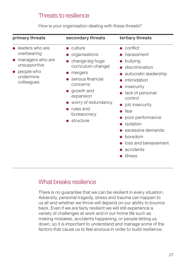#### Threats to resilience

How is your organisation dealing with these threats?

| primary threats                                                                                             | secondary threats                                                                                                                                                                                                  | tertiary threats                                                                                                                                                                                                                                                                        |
|-------------------------------------------------------------------------------------------------------------|--------------------------------------------------------------------------------------------------------------------------------------------------------------------------------------------------------------------|-----------------------------------------------------------------------------------------------------------------------------------------------------------------------------------------------------------------------------------------------------------------------------------------|
| leaders who are<br>overbearing<br>managers who are<br>unsupportive<br>people who<br>undermine<br>colleagues | $\bullet$ culture<br>organisations<br>change (eg huge<br>curriculum change)<br>mergers<br>serious financial<br>concerns<br>growth and<br>expansion<br>worry of redundancy<br>rules and<br>bureaucracy<br>structure | conflict<br>harassment<br>bullying<br>discrimination<br>autocratic leadership<br>intimidation<br>insecurity<br>lack of personal<br>control<br>• job insecurity<br>fear<br>poor performance<br>isolation<br>excessive demands<br>boredom<br>loss and bereavement<br>accidents<br>illness |

#### What breaks resilience

There is no guarantee that we can be resilient in every situation. Adversity, personal tragedy, stress and trauma can happen to us all and whether we thrive will depend on our ability to bounce back. Even if we are fairly resilient we will still experience a variety of challenges at work and in our home life such as making mistakes, accidents happening, or people letting us down, so it is important to understand and manage some of the factors that cause us to feel anxious in order to build resilience.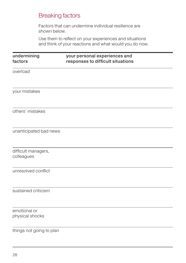#### Breaking factors

Factors that can undermine individual resilience are shown below.

Use them to reflect on your experiences and situations and think of your reactions and what would you do now.

| undermining<br>factors            | your personal experiences and<br>responses to difficult situations |
|-----------------------------------|--------------------------------------------------------------------|
| overload                          |                                                                    |
| your mistakes                     |                                                                    |
| others' mistakes                  |                                                                    |
| unanticipated bad news            |                                                                    |
| difficult managers,<br>colleagues |                                                                    |
| unresolved conflict               |                                                                    |
| sustained criticism               |                                                                    |
| emotional or<br>physical shocks   |                                                                    |
| things not going to plan          |                                                                    |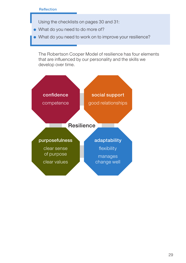#### Reflection

Using the checklists on pages 30 and 31:

- What do you need to do more of?
- What do you need to work on to improve your resilience?

The Robertson Cooper Model of resilience has four elements that are influenced by our personality and the skills we develop over time.

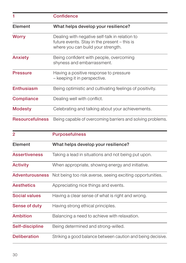|                        | <b>Confidence</b>                                                                                                                    |
|------------------------|--------------------------------------------------------------------------------------------------------------------------------------|
| Element                | What helps develop your resilience?                                                                                                  |
| <b>Worry</b>           | Dealing with negative self-talk in relation to<br>future events. Stay in the present – this is<br>where you can build your strength. |
| Anxiety                | Being confident with people, overcoming<br>shyness and embarrassment.                                                                |
| <b>Pressure</b>        | Having a positive response to pressure<br>- keeping it in perspective.                                                               |
| Enthusiasm             | Being optimistic and cultivating feelings of positivity.                                                                             |
| <b>Compliance</b>      | Dealing well with conflict.                                                                                                          |
| <b>Modesty</b>         | Celebrating and talking about your achievements.                                                                                     |
| <b>Resourcefulness</b> | Being capable of overcoming barriers and solving problems.                                                                           |

| $\overline{2}$       | <b>Purposefulness</b>                                                            |
|----------------------|----------------------------------------------------------------------------------|
| Element              | What helps develop your resilience?                                              |
| <b>Assertiveness</b> | Taking a lead in situations and not being put upon.                              |
| <b>Activity</b>      | When appropriate, showing energy and initiative.                                 |
|                      | <b>Adventurousness</b> Not being too risk averse, seeing exciting opportunities. |
| <b>Aesthetics</b>    | Appreciating nice things and events.                                             |
| <b>Social values</b> | Having a clear sense of what is right and wrong.                                 |
| Sense of duty        | Having strong ethical principles.                                                |
| <b>Ambition</b>      | Balancing a need to achieve with relaxation.                                     |
| Self-discipline      | Being determined and strong-willed.                                              |
| <b>Deliberation</b>  | Striking a good balance between caution and being decisive.                      |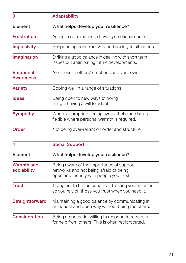| 3                                | Adaptability                                                                                                                   |
|----------------------------------|--------------------------------------------------------------------------------------------------------------------------------|
| Element                          | What helps develop your resilience?                                                                                            |
| <b>Frustration</b>               | Acting in calm manner, showing emotional control.                                                                              |
| <b>Impulsivity</b>               | Responding constructively and flexibly to situations.                                                                          |
| Imagination                      | Striking a good balance in dealing with short term<br>issues but anticipating future developments.                             |
| <b>Emotional</b><br>Awareness    | Alertness to others' emotions and your own.                                                                                    |
| Variety                          | Coping well in a range of situations.                                                                                          |
| Ideas                            | Being open to new ways of doing<br>things, having a will to adapt.                                                             |
| <b>Sympathy</b>                  | Where appropriate, being sympathetic and being<br>flexible where personal warmth is required.                                  |
| <b>Order</b>                     | Not being over-reliant on order and structure.                                                                                 |
| 4                                | <b>Social Support</b>                                                                                                          |
| Element                          | What helps develop your resilience?                                                                                            |
| <b>Warmth and</b><br>sociability | Being aware of the importance of support<br>networks and not being afraid of being<br>open and friendly with people you trust. |
| <b>Trust</b>                     | Trying not to be too sceptical, trusting your intuition<br>so you rely on those you trust when you need it.                    |
| Straightforward                  | Maintaining a good balance by communicating in<br>an honest and open way without being too sharp.                              |
| <b>Consideration</b>             | Being empathetic, willing to respond to requests<br>for help from others. This is often reciprocated.                          |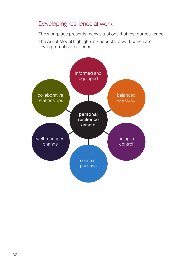#### Developing resilience at work

The workplace presents many situations that test our resilience.

The Asset Model highlights six aspects of work which are key in promoting resilience.

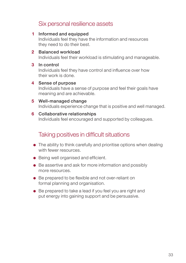# Six personal resilience assets

#### 1 Informed and equipped

Individuals feel they have the information and resources they need to do their best.

#### 2 Balanced workload Individuals feel their workload is stimulating and manageable.

#### 3 In control

Individuals feel they have control and influence over how their work is done.

#### 4 Sense of purpose

Individuals have a sense of purpose and feel their goals have meaning and are achievable.

#### 5 Well-managed change

Individuals experience change that is positive and well managed.

#### 6 Collaborative relationships

Individuals feel encouraged and supported by colleagues.

## Taking positives in difficult situations

- $\bullet$  The ability to think carefully and prioritise options when dealing with fewer resources.
- Being well organised and efficient.
- Be assertive and ask for more information and possibly more resources.
- Be prepared to be flexible and not over-reliant on formal planning and organisation.
- Be prepared to take a lead if you feel you are right and put energy into gaining support and be persuasive.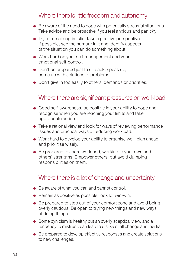# Where there is little freedom and autonomy

- Be aware of the need to cope with potentially stressful situations. Take advice and be proactive if you feel anxious and panicky.
- Try to remain optimistic, take a positive perspective. If possible, see the humour in it and identify aspects of the situation you can do something about.
- Work hard on your self-management and your emotional self-control.
- Don't be prepared just to sit back, speak up, come up with solutions to problems.
- Don't give in too easily to others' demands or priorities.

# Where there are significant pressures on workload

- Good self-awareness, be positive in your ability to cope and recognise when you are reaching your limits and take appropriate action.
- Take a rational view and look for ways of reviewing performance issues and practical ways of reducing workload.
- Work hard to develop your ability to organise well, plan ahead and prioritise wisely.
- Be prepared to share workload, working to your own and others' strengths. Empower others, but avoid dumping responsibilities on them.

# Where there is a lot of change and uncertainty

- Be aware of what you can and cannot control.
- Remain as positive as possible, look for win-win.
- Be prepared to step out of your comfort zone and avoid being overly cautious. Be open to trying new things and new ways of doing things.
- Some cynicism is healthy but an overly sceptical view, and a tendency to mistrust, can lead to dislike of all change and inertia.
- Be prepared to develop effective responses and create solutions to new challenges.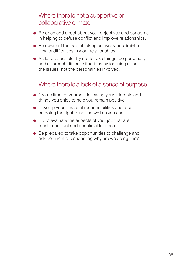# Where there is not a supportive or collaborative climate

- Be open and direct about your objectives and concerns in helping to defuse conflict and improve relationships.
- Be aware of the trap of taking an overly pessimistic view of difficulties in work relationships.
- As far as possible, try not to take things too personally and approach difficult situations by focusing upon the issues, not the personalities involved.

# Where there is a lack of a sense of purpose

- Create time for yourself, following your interests and things you enjoy to help you remain positive.
- Develop your personal responsibilities and focus on doing the right things as well as you can.
- Try to evaluate the aspects of your job that are most important and beneficial to others.
- Be prepared to take opportunities to challenge and ask pertinent questions, eg why are we doing this?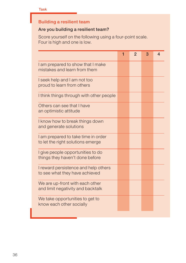#### Building a resilient team

#### Are you building a resilient team?

Score yourself on the following using a four-point scale. Four is high and one is low.

|                                                                          | 1 | $\overline{2}$ | 3 | 4 |
|--------------------------------------------------------------------------|---|----------------|---|---|
| I am prepared to show that I make<br>mistakes and learn from them        |   |                |   |   |
| I seek help and I am not too<br>proud to learn from others               |   |                |   |   |
| I think things through with other people                                 |   |                |   |   |
| Others can see that I have<br>an optimistic attitude                     |   |                |   |   |
| I know how to break things down<br>and generate solutions                |   |                |   |   |
| I am prepared to take time in order<br>to let the right solutions emerge |   |                |   |   |
| I give people opportunities to do<br>things they haven't done before     |   |                |   |   |
| I reward persistence and help others<br>to see what they have achieved   |   |                |   |   |
| We are up-front with each other<br>and limit negativity and backtalk     |   |                |   |   |
| We take opportunities to get to<br>know each other socially              |   |                |   |   |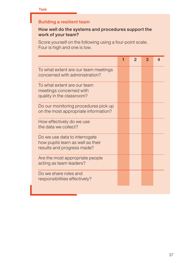#### Building a resilient team

#### How well do the systems and procedures support the work of your team?

Score yourself on the following using a four-point scale. Four is high and one is low.

|                                                                                                  | 1 | $\mathfrak{p}$ | 3 | Δ |
|--------------------------------------------------------------------------------------------------|---|----------------|---|---|
| To what extent are our team meetings<br>concerned with administration?                           |   |                |   |   |
| To what extent are our team<br>meetings concerned with<br>quality in the classroom?              |   |                |   |   |
| Do our monitoring procedures pick up<br>on the most appropriate information?                     |   |                |   |   |
| How effectively do we use<br>the data we collect?                                                |   |                |   |   |
| Do we use data to interrogate<br>how pupils learn as well as their<br>results and progress made? |   |                |   |   |
| Are the most appropriate people<br>acting as team leaders?                                       |   |                |   |   |
| Do we share roles and<br>responsibilities effectively?                                           |   |                |   |   |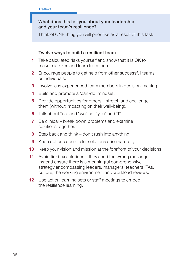#### What does this tell you about your leadership and your team's resilience?

Think of ONE thing you will prioritise as a result of this task.

#### Twelve ways to build a resilient team

- 1 Take calculated risks yourself and show that it is OK to make mistakes and learn from them.
- 2 Encourage people to get help from other successful teams or individuals.
- **3** Involve less experienced team members in decision-making.
- 4 Build and promote a 'can-do' mindset.
- **5** Provide opportunities for others stretch and challenge them (without impacting on their well-being).
- 6 Talk about "us" and "we" not "you" and "I".
- 7 Be clinical break down problems and examine solutions together.
- 8 Step back and think  $-$  don't rush into anything.
- **9** Keep options open to let solutions arise naturally.
- **10** Keep your vision and mission at the forefront of your decisions.
- **11** Avoid tickbox solutions they send the wrong message; instead ensure there is a meaningful comprehensive strategy encompassing leaders, managers, teachers, TAs, culture, the working environment and workload reviews.
- 12 Use action learning sets or staff meetings to embed the resilience learning.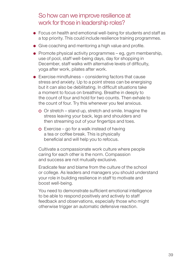# So how can we improve resilience at work for those in leadership roles?

- Focus on health and emotional well-being for students and staff as a top priority. This could include resilience training programmes.
- Give coaching and mentoring a high value and profile.
- Promote physical activity programmes eg, gym membership, use of pool, staff well-being days, day for shopping in December, staff walks with alternative levels of difficulty, yoga after work, pilates after work.
- $\bullet$  Exercise mindfulness considering factors that cause stress and anxiety. Up to a point stress can be energising but it can also be debilitating. In difficult situations take a moment to focus on breathing. Breathe in deeply to the count of four and hold for two counts. Then exhale to the count of four. Try this whenever you feel anxious.
	- Or stretch stand up, stretch and smile. Imagine the stress leaving your back, legs and shoulders and then streaming out of your fingertips and toes.
	- **O** Exercise go for a walk instead of having a tea or coffee break. This is physically beneficial and will help you to refocus.

Cultivate a compassionate work culture where people caring for each other is the norm. Compassion and success are not mutually exclusive.

Eradicate fear and blame from the culture of the school or college. As leaders and managers you should understand your role in building resilience in staff to motivate and boost well-being.

You need to demonstrate sufficient emotional intelligence to be able to respond positively and actively to staff feedback and observations, especially those who might otherwise trigger an automatic defensive reaction.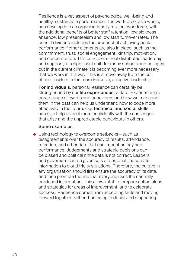Resilience is a key aspect of psychological well-being and healthy, sustainable performance. The workforce, as a whole, can develop into an organisationally resilient workforce, with the additional benefits of better staff retention, low sickness absence, low presenteeism and low staff turnover rates. The benefit dividend includes the prospect of achieving peak performance if other elements are also in place, such as the commitment, trust, social engagement, kinship, motivation, and concentration. This principle, of real distributed leadership and support, is a significant shift for many schools and colleges but in the current climate it is becoming ever more necessary that we work in this way. This is a move away from the cult of hero leaders to the more inclusive, adaptive leadership.

For individuals, personal resilience can certainly be strengthened by our life experiences to date. Experiencing a broad range of events and behaviours and how we managed them in the past can help us understand how to cope more effectively in the future. Our technical and social skills can also help us deal more confidently with the challenges that arise and the unpredictable behaviours in others.

#### Some examples:

● Using technology to overcome setbacks – such as disagreements over the accuracy of results, attendance, retention, and other data that can impact on pay and performance. Judgements and strategic decisions can be biased and political if the data is not correct. Leaders and governors can be given sets of personal, inaccurate information to cloud tricky situations. Therefore, the culture in any organisation should first ensure the accuracy of its data, and then promote the line that everyone uses the centrally produced information. This allows staff to prepare action plans and strategies for areas of improvement, and to celebrate success. Resilience comes from accepting facts and moving forward together, rather than being in denial and stagnating.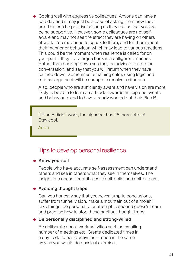● Coping well with aggressive colleagues. Anyone can have a bad day and it may just be a case of asking them how they are. This can be positive so long as they realise that you are being supportive. However, some colleagues are not selfaware and may not see the effect they are having on others at work. You may need to speak to them, and tell them about their manner or behaviour, which may lead to various reactions. This could be the moment when resilience is called for on your part if they try to argue back in a belligerent manner. Rather than backing down you may be advised to stop the conversation, and say that you will return when they have calmed down. Sometimes remaining calm, using logic and rational argument will be enough to resolve a situation.

Also, people who are sufficiently aware and have vision are more likely to be able to form an attitude towards anticipated events and behaviours and to have already worked out their Plan B.

If Plan A didn't work, the alphabet has 25 more letters! Stay cool.

Anon

### Tips to develop personal resilience

#### ● Know yourself

People who have accurate self-assessment can understand others and see in others what they see in themselves. The insight into oneself contributes to self-belief and self-esteem.

#### ● Avoiding thought traps

Can you honestly say that you never jump to conclusions, suffer from tunnel vision, make a mountain out of a molehill, take things too personally, or attempt to second guess? Learn and practise how to stop these habitual thought traps.

#### ● Be personally disciplined and strong-willed

Be deliberate about work activities such as emailing, number of meetings etc. Create dedicated times in a day to do specific activities – much in the same way as you would do physical exercise.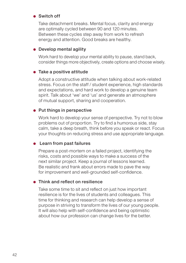#### ● Switch off

Take detachment breaks. Mental focus, clarity and energy are optimally cycled between 90 and 120 minutes. Between these cycles step away from work to refresh energy and attention. Good breaks are healthy.

#### ● Develop mental agility

Work hard to develop your mental ability to pause, stand back, consider things more objectively, create options and choose wisely.

#### ● Take a positive attitude

Adopt a constructive attitude when talking about work-related stress. Focus on the staff / student experience, high standards and expectations, and hard work to develop a genuine team spirit. Talk about 'we' and 'us' and generate an atmosphere of mutual support, sharing and cooperation.

#### ● Put things in perspective

Work hard to develop your sense of perspective. Try not to blow problems out of proportion. Try to find a humorous side, stay calm, take a deep breath, think before you speak or react. Focus your thoughts on reducing stress and use appropriate language.

#### ● Learn from past failures

Prepare a post-mortem on a failed project, identifying the risks, costs and possible ways to make a success of the next similar project. Keep a journal of lessons learned. Be realistic and frank about errors made to pave the way for improvement and well-grounded self-confidence.

#### ● Think and reflect on resilience

Take some time to sit and reflect on just how important resilience is for the lives of students and colleagues. This time for thinking and research can help develop a sense of purpose in striving to transform the lives of our young people. It will also help with self-confidence and being optimistic about how our profession can change lives for the better.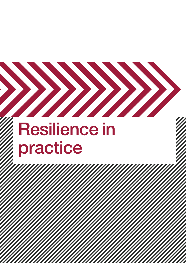# **Resilience in** practice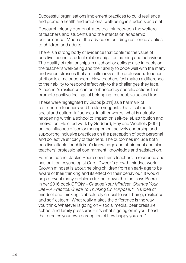Successful organisations implement practices to build resilience and promote health and emotional well-being in students and staff.

Research clearly demonstrates the link between the welfare of teachers and students and the effects on academic performance. Much of the advice on building resilience applies to children and adults.

There is a strong body of evidence that confirms the value of positive teacher-student relationships for learning and behaviour. The quality of relationships in a school or college also impacts on the teacher's well-being and their ability to cope well with the many and varied stresses that are hallmarks of the profession. Teacher attrition is a major concern. How teachers feel makes a difference to their ability to respond effectively to the challenges they face. A teacher's resilience can be enhanced by specific actions that promote positive feelings of belonging, respect, value and trust.

These were highlighted by Gibbs [2011] as a hallmark of resilience in teachers and he also suggests this is subject to social and cultural influences. In other words, what is actually happening within a school to impact on self-belief, attribution and motivation. He cited work by Goddard, Hoy and Woolfolk [2004] on the influence of senior management actively endorsing and supporting inclusive practices on the perception of both personal and collective efficacy of teachers. The outcomes include both positive effects for children's knowledge and attainment and also teachers' professional commitment, knowledge and satisfaction.

Former teacher Jackie Beere now trains teachers in resilience and has built on psychologist Carol Dweck's growth mindset work. Growth mindset is about helping children from an early age to be aware of their thinking and its effect on their behaviour. It would help prevent many problems further down the line, says Beere in her 2016 book *GROW – Change Your Mindset, Change Your Life – A Practical Guide To Thinking On Purpose*, "This idea of mindset and thinking is absolutely crucial to well-being, resilience and self-esteem. What really makes the difference is the way you think. Whatever is going on – social media, peer pressure, school and family pressures – it's what's going on in your head that creates your own perception of how happy you are."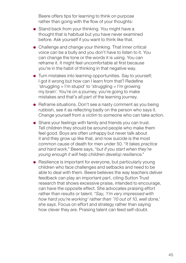Beere offers tips for learning to think on purpose rather than going with the flow of your thoughts:

- Stand back from your thinking. You might have a thought that is habitual but you have never examined before. Ask yourself if you want to think like that.
- Challenge and change your thinking. That inner critical voice can be a bully and you don't have to listen to it. You can change the tone or the words it is using. You can reframe it. It might feel uncomfortable at first because you're in the habit of thinking in that negative way.
- Turn mistakes into learning opportunities. Say to yourself; I got it wrong but how can I learn from that? Redefine 'struggling  $=$  I'm stupid' to 'struggling  $=$  I'm growing my brain'. You're on a journey, you're going to make mistakes and that's all part of the learning journey.
- Reframe situations. Don't see a nasty comment as you being rubbish, see it as reflecting badly on the person who says it. Change yourself from a victim to someone who can take action.
- Share your feelings with family and friends you can trust. Tell children they should be around people who make them feel good. Boys are often unhappy but never talk about it and they grow up like that, and now suicide is the most common cause of death for men under 50. "*It takes practice and hard work*," Beere says, "*but if you start when they're young enough it will help children develop resilience*."
- Resilience is important for everyone, but particularly young children who face challenges and setbacks and need to be able to deal with them. Beere believes the way teachers deliver feedback can play an important part, citing Sutton Trust research that shows excessive praise, intended to encourage, can have the opposite effect. She advocates praising effort rather than results or talent. "*Say, 'I'm very impressed with how hard you're working' rather than '10 out of 10, well done*,' she says. Focus on effort and strategy rather than saying how clever they are. Praising talent can feed self-doubt.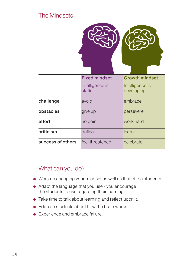# The Mindsets

|                   | <b>Fixed mindset</b>      | <b>Growth mindset</b>         |
|-------------------|---------------------------|-------------------------------|
|                   | Intelligence is<br>static | Intelligence is<br>developing |
| challenge         | avoid                     | embrace                       |
| obstacles         | give up                   | persevere                     |
| effort            | no point                  | work hard                     |
| criticism         | deflect                   | learn                         |
| success of others | feel threatened           | celebrate                     |

# What can you do?

- Work on changing your mindset as well as that of the students.
- Adapt the language that you use / you encourage the students to use regarding their learning.
- Take time to talk about learning and reflect upon it.
- $\bullet$  Educate students about how the brain works.
- Experience and embrace failure.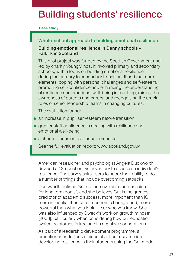# Building students' resilience

#### Case study

#### Whole-school approach to building emotional resilience

#### Building emotional resilience in Denny schools – Falkirk in Scotland

This pilot project was funded by the Scottish Government and led by charity YoungMinds. It involved primary and secondary schools, with a focus on building emotional resilience during the primary to secondary transition. It had four core elements: coping with personal challenges and self-esteem, promoting self-confidence and enhancing the understanding of resilience and emotional well-being in teaching, raising the awareness of parents and carers, and recognising the crucial roles of senior leadership teams in changing cultures.

The evaluation found:

- an increase in pupil self-esteem before transition
- greater staff confidence in dealing with resilience and emotional well-being
- a sharper focus on resilience in schools.
	- See the full evaluation report: www.scotland.gov.uk

American researcher and psychologist Angela Duckworth devised a 12-question Grit inventory to assess an individual's resilience. The survey asks users to score their ability to do a number of things that include overcoming setbacks.

Duckworth defined Grit as "perseverance and passion for long term goals", and she believes Grit is the greatest predictor of academic success, more important than IQ, more influential than socio-economic background, more powerful than what you look like or who you know. She was also influenced by Dweck's work on growth mindset [2006], particularly when considering how our education system reinforces failure and its negative connotations.

As part of a leadership development programme, a practitioner undertook a piece of action research into developing resilience in their students using the Grit model.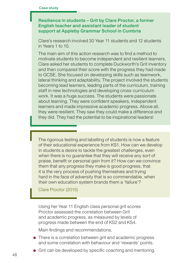#### Case study

#### Resilience in students – Grit by Clare Proctor, a former English teacher and assistant leader of student support at Appleby Grammar School in Cumbria

Clare's research involved 30 Year 11 students and 12 students in Years 1 to 10.

The main aim of this action research was to find a method to motivate students to become independent and resilient learners. Clare asked her students to complete Duckworth's Grit inventory and then compared their score with the progress they had made to GCSE. She focused on developing skills such as teamwork, lateral thinking and adaptability. The project involved the students becoming lead learners, leading parts of the curriculum, training staff in new technologies and developing cross-curriculum work. It was a huge success. The students were passionate about learning. They were confident speakers, independent learners and made impressive academic progress. Above all, they were resilient. They saw they could make a difference and they did. They had the potential to be inspirational leaders!

The rigorous testing and labelling of students is now a feature of their educational experience from KS1. How can we develop in students a desire to tackle the greatest challenges, even when there is no guarantee that they will receive any sort of praise, benefit or personal gain from it? How can we convince them that any progress they make is good progress, that it is the very process of pushing themselves and trying hard in the face of adversity that is so commendable, when their own education system brands them a 'failure'?

Clare Proctor (2015)

Using her Year 11 English class personal grit scores Proctor assessed the correlation between Grit and academic progress, as measured by levels of progress made between the end of KS2 and KS4.

Main findings and recommendations.

- There is a correlation between grit and academic progress and some correlation with behaviour and 'rewards' points.
- Grit can be developed by specific coaching and mentoring.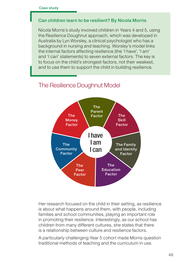#### Case study

#### Can children learn to be resilient? By Nicola Morris

Nicola Morris's study involved children in Years 4 and 5, using the Resilience Doughnut approach, which was developed in Australia by Lyn Worsley, a clinical psychologist who has a background in nursing and teaching. Worsley's model links the internal factors affecting resilience (the 'I have', 'I am' and 'I can' statements) to seven external factors. The key is to focus on the child's strongest factors, not their weakest, and to use them to support the child in building resilience.

#### I have I am I can The Parent Factor The **Education** Factor The Peer Factor The Family and Identity Factor The **Community** Factor The Skill Factor The **Money** Factor

## The Resilience Doughnut Model

Her research focused on the child in their setting, as resilience is about what happens around them, with people, including families and school communities, playing an important role in promoting their resilience. Interestingly, as our school has children from many different cultures, she states that there is a relationship between culture and resilience factors.

A particularly challenging Year 5 cohort made Morris question traditional methods of teaching and the curriculum in use.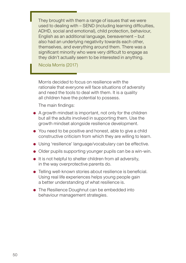They brought with them a range of issues that we were used to dealing with – SEND (including learning difficulties, ADHD, social and emotional), child protection, behaviour, English as an additional language, bereavement – but also had an underlying negativity towards each other, themselves, and everything around them. There was a significant minority who were very difficult to engage as they didn't actually seem to be interested in anything.

Nicola Morris (2017)

Morris decided to focus on resilience with the rationale that everyone will face situations of adversity and need the tools to deal with them. It is a quality all children have the potential to possess.

The main findings:

- A growth mindset is important, not only for the children but all the adults involved in supporting them. Use the growth mindset alongside resilience development.
- You need to be positive and honest, able to give a child constructive criticism from which they are willing to learn.
- Using 'resilience' language/vocabulary can be effective.
- Older pupils supporting younger pupils can be a win-win.
- $\bullet$  It is not helpful to shelter children from all adversity, in the way overprotective parents do.
- Telling well-known stories about resilience is beneficial. Using real life experiences helps young people gain a better understanding of what resilience is.
- The Resilience Doughnut can be embedded into behaviour management strategies.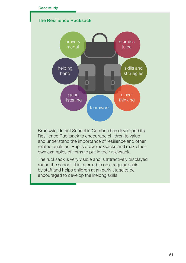

Brunswick Infant School in Cumbria has developed its Resilience Rucksack to encourage children to value and understand the importance of resilience and other related qualities. Pupils draw rucksacks and make their own examples of items to put in their rucksack.

The rucksack is very visible and is attractively displayed round the school. It is referred to on a regular basis by staff and helps children at an early stage to be encouraged to develop the lifelong skills.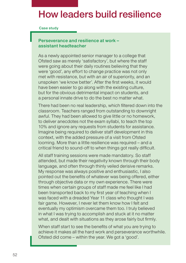# How leaders build resilience

#### Case study

#### Perseverance and resilience at work – assistant headteacher

As a newly appointed senior manager to a college that Ofsted saw as merely 'satisfactory', but where the staff were going about their daily routines believing that they were 'good', any effort to change practice was not only met with resistance, but with an air of superiority, and an unspoken 'we know better'. After the first weeks, it would have been easier to go along with the existing culture, but for the obvious detrimental impact on students, and a personal innate drive to do the best no matter what.

There had been no real leadership, which filtered down into the classroom. Teachers ranged from outstanding to downright awful. They had been allowed to give little or no homework. to deliver anecdotes not the exam syllabi, to teach the top 10% and ignore any requests from students for assistance. Imagine being required to deliver staff development in this context, with the added pressure of a visit from Ofsted looming. More than a little resilience was required – and a critical friend to sound-off to when things got really difficult.

All staff training sessions were made mandatory. So staff attended, but made their negativity known through their body language, and often through thinly veiled derisive remarks. My response was always positive and enthusiastic, I also pointed out the benefits of whatever was being offered, either through objective data or my own experience. There were times when certain groups of staff made me feel like I had been transported back to my first year of teaching when I was faced with a dreaded Year 11 class who thought I was fair game. However, I never let them know how I felt and eventually my optimism overcame them too. I truly believed in what I was trying to accomplish and stuck at it no matter what, and dealt with situations as they arose fairly but firmly.

When staff start to see the benefits of what you are trying to achieve it makes all the hard work and perseverance worthwhile. Ofsted did come – within the year. We got a 'good'.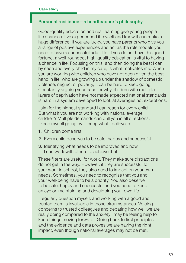#### Personal resilience – a headteacher's philosophy

Good-quality education and real learning give young people life chances. I've experienced it myself and know it can make a huge difference. If you are lucky, you have parents who give you a range of positive experiences and act as the role models you need to have a successful adult life. If you do not have this good fortune, a well-rounded, high-quality education is vital to having a chance in life. Focusing on this, and then doing the best I can by each and every child in my care, is what motivates me. When you are working with children who have not been given the best hand in life, who are growing up under the shadow of domestic violence, neglect or poverty, it can be hard to keep going. Constantly arguing your case for why children with multiple layers of deprivation have not made expected national standards is hard in a system developed to look at averages not exceptions.

I aim for the highest standard I can reach for every child. But what if you are not working with national average children? Multiple demands can pull you in all directions. I keep myself going by filtering what I believe in.

- 1. Children come first.
- 2. Every child deserves to be safe, happy and successful.
- 3. Identifying what needs to be improved and how I can work with others to achieve that.

These filters are useful for work. They make sure distractions do not get in the way. However, if they are successful for your work in school, they also need to impact on your own needs. Sometimes, you need to recognise that you and your well-being have to be a priority. You also deserve to be safe, happy and successful and you need to keep an eye on maintaining and developing your own life.

I regularly question myself, and working with a good and trusted team is invaluable in those circumstances. Voicing concerns to trusted colleagues and debating how well we are really doing compared to the anxiety I may be feeling help to keep things moving forward. Going back to first principles and the evidence and data proves we are having the right impact, even though national averages may not be met.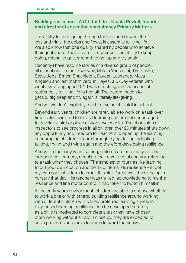#### Building resilience – A Gift for Life – Nicola Powell, founder and director of education consultancy Primary Matters

The ability to keep going through the ups and downs, the joys and trials, the ebbs and flows, is essential to living life. We also know that one quality shared by people who achieve their goal and/or their dream is resilience - the ability to keep going, refusal to quit, strength to get up and try again.

Recently I have read life stories of a diverse group of people all exceptional in their own way, Malala Yousafzai, Tim Peake, Steve Jobs, Ernest Shackleton, Doreen Lawrence, Maya Angelou and last month Verdun Hayes, a D-Day veteran who went sky-diving aged 101. I was struck again how essential resilience is to living life to the full. The determination to get up, dig deep and try again is literally life-giving.

And yet we don't explicitly teach, or value, this skill in school.

Beyond early years, children are rarely able to work on a task over time, seldom invited to re-visit learning and are not encouraged to develop a skill or piece of work over weeks. The obsession of inspectors to see progress in all children over 20 minutes shuts down any opportunity and freedom for teachers to open up the learning, encouraging children to learn through trying, failing, adapting, talking, trying and trying again and therefore developing resilience.

And yet in the early years setting, children are encouraged to be independent learners, directing their own lines of enquiry, returning to a task when they choose. The simplest of routines like learning to put your own coat on and do it up, demands resilience – it took my own son half a term to crack this skill. Great was the rejoicing in nursery that day! His teacher was thrilled, acknowledging to me the resilience and fine motor control it had taken to button himself in.

In the early years environment, children are able to choose whether to work alone or with others, building resilience around working with different children with varied preferred learning styles. In play-based learning, resilience can be developed naturally, as a child is motivated to complete a task they have chosen, often working without an adult close by, they are expected to solve problems and move learning forward themselves.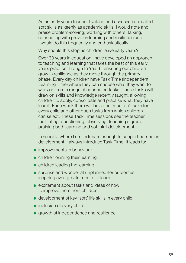As an early years teacher I valued and assessed so-called soft skills as keenly as academic skills. I would note and praise problem-solving, working with others, talking, connecting with previous learning and resilience and I would do this frequently and enthusiastically.

Why should this stop as children leave early years?

Over 30 years in education I have developed an approach to teaching and learning that takes the best of this early years practice through to Year 6, ensuring our children grow in resilience as they move through the primary phase. Every day children have Task Time (Independent Learning Time) where they can choose what they want to work on from a range of connected tasks. These tasks will draw on skills and knowledge recently taught, allowing children to apply, consolidate and practise what they have learnt. Each week there will be some 'must do' tasks for every child and other open tasks from which children can select. These Task Time sessions see the teacher facilitating, questioning, observing, teaching a group, praising both learning and soft skill development.

In schools where I am fortunate enough to support curriculum development, I always introduce Task Time. It leads to:

- improvements in behaviour
- children owning their learning
- children leading the learning
- surprise and wonder at unplanned-for outcomes, inspiring even greater desire to learn
- excitement about tasks and ideas of how to improve them from children
- development of key 'soft' life skills in every child
- inclusion of every child
- growth of independence and resilience.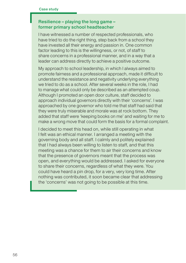#### Resilience – playing the long game – former primary school headteacher

I have witnessed a number of respected professionals, who have tried to do the right thing, step back from a school they have invested all their energy and passion in. One common factor leading to this is the willingness, or not, of staff to share concerns in a professional manner, and in a way that a leader can address directly to achieve a positive outcome.

My approach to school leadership, in which I always aimed to promote fairness and a professional approach, made it difficult to understand the resistance and negativity underlying everything we tried to do as a school. After several weeks in the role, I had to manage what could only be described as an attempted coup. Although I promoted an open door culture, staff decided to approach individual governors directly with their 'concerns'. I was approached by one governor who told me that staff had said that they were truly miserable and morale was at rock bottom. They added that staff were 'keeping books on me' and waiting for me to make a wrong move that could form the basis for a formal complaint.

I decided to meet this head on, while still operating in what I felt was an ethical manner. I arranged a meeting with the governing body and all staff. I calmly and politely explained that I had always been willing to listen to staff, and that this meeting was a chance for them to air their concerns and know that the presence of governors meant that the process was open, and everything would be addressed. I asked for everyone to share their concerns, regardless of what they were. You could have heard a pin drop, for a very, very long time. After nothing was contributed, it soon became clear that addressing the 'concerns' was not going to be possible at this time.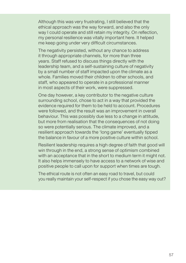Although this was very frustrating, I still believed that the ethical approach was the way forward, and also the only way I could operate and still retain my integrity. On reflection, my personal resilience was vitally important here. It helped me keep going under very difficult circumstances.

The negativity persisted, without any chance to address it through appropriate channels, for more than three years. Staff refused to discuss things directly with the leadership team, and a self-sustaining culture of negativity by a small number of staff impacted upon the climate as a whole. Families moved their children to other schools, and staff, who appeared to operate in a professional manner in most aspects of their work, were suppressed.

One day however, a key contributor to the negative culture surrounding school, chose to act in a way that provided the evidence required for them to be held to account. Procedures were followed, and the result was an improvement in overall behaviour. This was possibly due less to a change in attitude, but more from realisation that the consequences of not doing so were potentially serious. The climate improved, and a resilient approach towards the 'long game' eventually tipped the balance in favour of a more positive culture within school.

Resilient leadership requires a high degree of faith that good will win through in the end, a strong sense of optimism combined with an acceptance that in the short to medium term it might not. It also helps immensely to have access to a network of wise and positive people to call upon for support when times are tough.

The ethical route is not often an easy road to travel, but could you really maintain your self-respect if you chose the easy way out?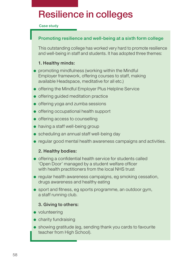# Resilience in colleges

#### Case study

#### Promoting resilience and well-being at a sixth form college

This outstanding college has worked very hard to promote resilience and well-being in staff and students. It has adopted three themes:

#### 1. Healthy minds:

- promoting mindfulness (working within the Mindful Employer framework, offering courses to staff, making available Headspace, meditative for all etc.)
- offering the Mindful Employer Plus Helpline Service
- offering quided meditation practice
- offering yoga and zumba sessions
- offering occupational health support
- offering access to counselling
- having a staff well-being group
- scheduling an annual staff well-being day
- regular good mental health awareness campaigns and activities.

#### 2. Healthy bodies:

- offering a confidential health service for students called 'Open Door' managed by a student welfare officer with health practitioners from the local NHS trust
- regular health awareness campaigns, eg smoking cessation, drugs awareness and healthy eating
- sport and fitness, eg sports programme, an outdoor gym, a staff running club.

#### 3. Giving to others:

- volunteering
- charity fundraising
- showing gratitude (eg, sending thank you cards to favourite teacher from High School).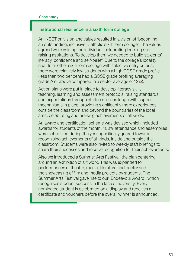#### Institutional resilience in a sixth form college

An INSET on vision and values resulted in a vision of 'becoming an outstanding, inclusive, Catholic sixth form college'. The values agreed were valuing the individual, celebrating learning and raising aspirations. To develop them we needed to build students' literacy, confidence and self-belief. Due to the college's locality near to another sixth form college with selective entry criteria, there were relatively few students with a high GCSE grade profile (less than two per cent had a GCSE grade profiling averaging grade A or above compared to a sector average of 12%).

Action plans were put in place to develop: literacy skills; teaching, learning and assessment protocols; raising standards and expectations through stretch and challenge with support mechanisms in place; providing significantly more experiences outside the classroom and beyond the boundaries of the local area; celebrating and praising achievements of all kinds.

An award and certification scheme was devised which included awards for students of the month, 100% attendance and assemblies were scheduled during the year specifically geared towards recognising achievements of all kinds, inside and outside the classroom. Students were also invited to weekly staff briefings to share their successes and receive recognition for their achievements.

Also we introduced a Summer Arts Festival, the plan centering around an exhibition of art work. This was expanded to performances of theatre, music, literature and poetry and the showcasing of film and media projects by students. The Summer Arts Festival gave rise to our 'Endeavour Award', which recognises student success in the face of adversity. Every nominated student is celebrated on a display and receives a certificate and vouchers before the overall winner is announced.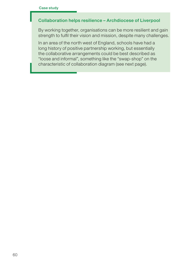#### Collaboration helps resilience – Archdiocese of Liverpool

By working together, organisations can be more resilient and gain strength to fulfil their vision and mission, despite many challenges.

In an area of the north west of England, schools have had a long history of positive partnership working, but essentially the collaborative arrangements could be best described as "loose and informal", something like the "swap-shop" on the characteristic of collaboration diagram (see next page).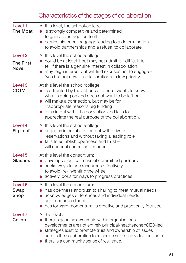# Characteristics of the stages of collaboration

| Level 1<br><b>The Moat</b>                             | At this level, the school/college:<br>is strongly competitive and determined<br>to gain advantage for itself<br>carries historical baggage leading to a determination<br>to avoid partnerships and a refusal to collaborate.                                                                                                           |
|--------------------------------------------------------|----------------------------------------------------------------------------------------------------------------------------------------------------------------------------------------------------------------------------------------------------------------------------------------------------------------------------------------|
| Level <sub>2</sub><br><b>The First</b><br><b>Novel</b> | At this level the school/college:<br>could be at level 1 but may not admit it - difficult to<br>tell if there is a genuine interest in collaboration<br>may feign interest but will find excuses not to engage -<br>'yes but not now' - collaboration is a low priority.                                                               |
| Level <sub>3</sub><br><b>CCTV</b>                      | At this level the school/college:<br>is attracted by the actions of others, wants to know<br>what is going on and does not want to be left out<br>will make a connection, but may be for<br>inappropriate reasons, eg funding<br>joins in but with little conviction and fails to<br>appreciate the real purpose of the collaboration. |
| Level 4<br><b>Fig Leaf</b>                             | At this level the school/college:<br>engages in collaboration but with private<br>reservations and without taking a leading role<br>fails to establish openness and trust -<br>will conceal underperformance.                                                                                                                          |
| Level <sub>5</sub><br>Glasnost                         | At this level the consortium:<br>develops a critical mass of committed partners<br>seeks ways to use resources effectively<br>to avoid 're-inventing the wheel'<br>• actively looks for ways to progress practices.                                                                                                                    |
| Level <sub>6</sub><br>Swap<br>Shop                     | At this level the consortium:<br>• has openness and trust to sharing to meet mutual needs<br>acknowledges differences and individual needs<br>and reconciles them<br>• has forward momentum, is creative and practically focused.                                                                                                      |
| Level <sub>7</sub><br>Co-op                            | At this level:<br>there is genuine ownership within organisations -<br>developments are not entirely principal/headteacher/CEO-led<br>strategies exist to promote trust and ownership of issues<br>across the collaboration to minimise risk to individual partners<br>there is a community sense of resilience.                       |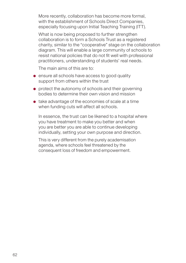More recently, collaboration has become more formal, with the establishment of Schools Direct Companies. especially focusing upon Initial Teaching Training (ITT).

What is now being proposed to further strengthen collaboration is to form a Schools Trust as a registered charity, similar to the "cooperative" stage on the collaboration diagram. This will enable a large community of schools to resist national policies that do not fit well with professional practitioners, understanding of students' real needs.

The main aims of this are to:

- ensure all schools have access to good quality support from others within the trust
- protect the autonomy of schools and their governing bodies to determine their own vision and mission
- $\bullet$  take advantage of the economies of scale at a time when funding cuts will affect all schools.

In essence, the trust can be likened to a hospital where you have treatment to make you better and when you are better you are able to continue developing individually, setting your own purpose and direction.

This is very different from the purely academisation agenda, where schools feel threatened by the consequent loss of freedom and empowerment.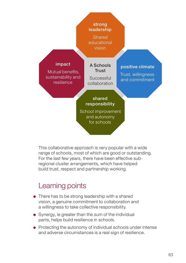

This collaborative approach is very popular with a wide range of schools, most of which are good or outstanding. For the last few years, there have been effective subregional cluster arrangements, which have helped build trust, respect and partnership working.

# Learning points

- There has to be strong leadership with a shared vision, a genuine commitment to collaboration and a willingness to take collective responsibility.
- Synergy, ie greater than the sum of the individual parts, helps build resilience in schools.
- Protecting the autonomy of individual schools under intense and adverse circumstances is a real sign of resilience.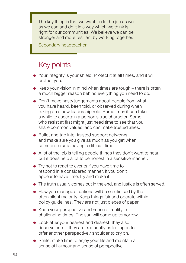The key thing is that we want to do the job as well as we can and do it in a way which we think is right for our communities. We believe we can be stronger and more resilient by working together.

Secondary headteacher

# Key points

- Your integrity is your shield. Protect it at all times, and it will protect you.
- $\bullet$  Keep your vision in mind when times are tough  $-$  there is often a much bigger reason behind everything you need to do.
- Don't make hasty judgements about people from what you have heard, been told, or observed during when taking on a new leadership role. Sometimes it can take a while to ascertain a person's true character. Some who resist at first might just need time to see that you share common values, and can make trusted allies.
- Build, and tap into, trusted support networks, and make sure you give as much as you get when someone else is having a difficult time.
- A lot of the job is telling people things they don't want to hear, but it does help a lot to be honest in a sensitive manner.
- Try not to react to events if you have time to respond in a considered manner. If you don't appear to have time, try and make it.
- The truth usually comes out in the end, and justice is often served.
- How you manage situations will be scrutinised by the often silent majority. Keep things fair and operate within policy guidelines. They are not just pieces of paper.
- Keep your perspective and sense of reality in challenging times. The sun will come up tomorrow.
- Look after your nearest and dearest: they also deserve care if they are frequently called upon to offer another perspective / shoulder to cry on.
- Smile, make time to enjoy your life and maintain a sense of humour and sense of perspective.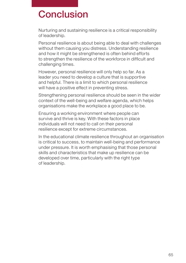# **Conclusion**

Nurturing and sustaining resilience is a critical responsibility of leadership.

Personal resilience is about being able to deal with challenges without them causing you distress. Understanding resilience and how it might be strengthened is often behind efforts to strengthen the resilience of the workforce in difficult and challenging times.

However, personal resilience will only help so far. As a leader you need to develop a culture that is supportive and helpful. There is a limit to which personal resilience will have a positive effect in preventing stress.

Strengthening personal resilience should be seen in the wider context of the well-being and welfare agenda, which helps organisations make the workplace a good place to be.

Ensuring a working environment where people can survive and thrive is key. With these factors in place individuals will not need to call on their personal resilience except for extreme circumstances.

In the educational climate resilience throughout an organisation is critical to success, to maintain well-being and performance under pressure. It is worth emphasising that those personal skills and characteristics that make up resilience can be developed over time, particularly with the right type of leadership.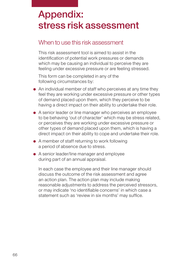# Appendix: stress risk assessment

## When to use this risk assessment

This risk assessment tool is aimed to assist in the identification of potential work pressures or demands which may be causing an individual to perceive they are feeling under excessive pressure or are feeling stressed.

This form can be completed in any of the following circumstances by:

- An individual member of staff who perceives at any time they feel they are working under excessive pressure or other types of demand placed upon them, which they perceive to be having a direct impact on their ability to undertake their role.
- A senior leader or line manager who perceives an employee to be behaving 'out of character' which may be stress related, or perceives they are working under excessive pressure or other types of demand placed upon them, which is having a direct impact on their ability to cope and undertake their role.
- A member of staff returning to work following a period of absence due to stress.
- A senior leader/line manager and employee during part of an annual appraisal.

In each case the employee and their line manager should discuss the outcome of the risk assessment and agree an action plan. The action plan may include making reasonable adjustments to address the perceived stressors, or may indicate 'no identifiable concerns' in which case a statement such as 'review in six months' may suffice.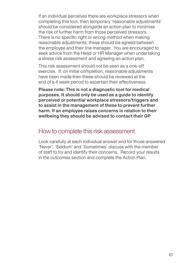If an individual perceives there are workplace stressors when completing this tool, then temporary 'reasonable adjustments' should be considered alongside an action plan to minimise the risk of further harm from those perceived stressors. There is no specific right or wrong method when making reasonable adjustments; these should be agreed between the employee and their line manager. You are encouraged to seek advice from the Head or HR Manager when undertaking a stress risk assessment and agreeing an action plan.

This risk assessment should not be seen as a one-off exercise. If, on initial completion, reasonable adjustments have been made then these should be reviewed at the end of a 4 week period to ascertain their effectiveness.

Please note: This is not a diagnostic tool for medical purposes. It should only be used as a guide to identify perceived or potential workplace stressors/triggers and to assist in the management of these to prevent further harm. If an employee raises concerns in relation to their wellbeing they should be advised to contact their GP.

#### How to complete this risk assessment

Look carefully at each individual answer and for those answered 'Never', 'Seldom' and 'Sometimes' discuss with the member of staff to try and identify their concerns. Record your results in the outcomes section and complete the Action Plan.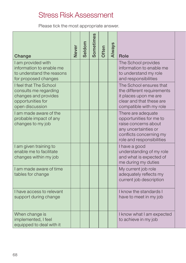# Stress Risk Assessment

Please tick the most appropriate answer.

| Change                                                                                                          | <b>Never</b> | Seldom | Sometimes | Often | <b>Always</b> | Role                                                                                                                                                  |
|-----------------------------------------------------------------------------------------------------------------|--------------|--------|-----------|-------|---------------|-------------------------------------------------------------------------------------------------------------------------------------------------------|
| I am provided with<br>information to enable me<br>to understand the reasons<br>for proposed changes             |              |        |           |       |               | The School provides<br>information to enable me<br>to understand my role<br>and responsibilities                                                      |
| I feel that The School<br>consults me regarding<br>changes and provides<br>opportunities for<br>open discussion |              |        |           |       |               | The School ensures that<br>the different requirements<br>it places upon me are<br>clear and that these are<br>compatible with my role                 |
| I am made aware of the<br>probable impact of any<br>changes to my job                                           |              |        |           |       |               | There are adequate<br>opportunities for me to<br>raise concerns about<br>any uncertainties or<br>conflicts concerning my<br>role and responsibilities |
| I am given training to<br>enable me to facilitate<br>changes within my job                                      |              |        |           |       |               | I have a good<br>understanding of my role<br>and what is expected of<br>me during my duties                                                           |
| I am made aware of time<br>tables for change                                                                    |              |        |           |       |               | My current job role<br>adequately reflects my<br>current job description                                                                              |
| I have access to relevant<br>support during change                                                              |              |        |           |       |               | I know the standards I<br>have to meet in my job                                                                                                      |
| When change is<br>implemented, I feel<br>equipped to deal with it                                               |              |        |           |       |               | I know what I am expected<br>to achieve in my job                                                                                                     |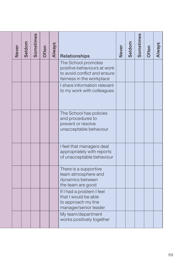| Never | Seldom | Sometimes | Often | <b>Always</b> | Relationships                                                                                                   | Never | Seldom | Sometimes | Often | <b>Always</b> |
|-------|--------|-----------|-------|---------------|-----------------------------------------------------------------------------------------------------------------|-------|--------|-----------|-------|---------------|
|       |        |           |       |               | The School promotes<br>positive behaviours at work<br>to avoid conflict and ensure<br>fairness in the workplace |       |        |           |       |               |
|       |        |           |       |               | I share information relevant<br>to my work with colleagues                                                      |       |        |           |       |               |
|       |        |           |       |               | The School has policies<br>and procedures to<br>prevent or resolve<br>unacceptable behaviour                    |       |        |           |       |               |
|       |        |           |       |               | I feel that managers deal<br>appropriately with reports<br>of unacceptable behaviour                            |       |        |           |       |               |
|       |        |           |       |               | There is a supportive<br>team atmosphere and<br>dynamics between<br>the team are good                           |       |        |           |       |               |
|       |        |           |       |               | If I had a problem I feel<br>that I would be able<br>to approach my line<br>manager/senior leader               |       |        |           |       |               |
|       |        |           |       |               | My team/department<br>works positively together                                                                 |       |        |           |       |               |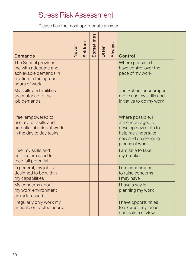## Stress Risk Assessment

Please tick the most appropriate answer

| <b>Demands</b>                                                                                                  | <b>Never</b> | Seldom | Sometimes | Often | <b>Always</b> | Control                                                                                                                      |
|-----------------------------------------------------------------------------------------------------------------|--------------|--------|-----------|-------|---------------|------------------------------------------------------------------------------------------------------------------------------|
| The School provides<br>me with adequate and<br>achievable demands in<br>relation to the agreed<br>hours of work |              |        |           |       |               | Where possible I<br>have control over the<br>pace of my work                                                                 |
| My skills and abilities<br>are matched to the<br>job demands                                                    |              |        |           |       |               | The School encourages<br>me to use my skills and<br>initiative to do my work                                                 |
| I feel empowered to<br>use my full skills and<br>potential abilities at work<br>in the day to day tasks         |              |        |           |       |               | Where possible, I<br>am encouraged to<br>develop new skills to<br>help me undertake<br>new and challenging<br>pieces of work |
| I feel my skills and<br>abilities are used to<br>their full potential                                           |              |        |           |       |               | I am able to take<br>my breaks                                                                                               |
| In general, my job is<br>designed to be within<br>my capabilities                                               |              |        |           |       |               | I am encouraged<br>to raise concerns<br>I may have                                                                           |
| My concerns about<br>my work environment<br>are addressed                                                       |              |        |           |       |               | I have a say in<br>planning my work                                                                                          |
| I regularly only work my<br>annual contracted hours                                                             |              |        |           |       |               | I have opportunities<br>to express my ideas<br>and points of view                                                            |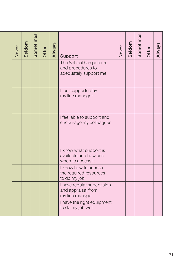| <b>Never</b> | Seldom | Sometimes | Often | <b>Always</b> | Support                                                               | Never | Seldom | Sometimes | Often | <b>Always</b> |
|--------------|--------|-----------|-------|---------------|-----------------------------------------------------------------------|-------|--------|-----------|-------|---------------|
|              |        |           |       |               | The School has policies<br>and procedures to<br>adequately support me |       |        |           |       |               |
|              |        |           |       |               | I feel supported by<br>my line manager                                |       |        |           |       |               |
|              |        |           |       |               | I feel able to support and<br>encourage my colleagues                 |       |        |           |       |               |
|              |        |           |       |               | I know what support is<br>available and how and<br>when to access it  |       |        |           |       |               |
|              |        |           |       |               | I know how to access<br>the required resources<br>to do my job        |       |        |           |       |               |
|              |        |           |       |               | I have regular supervision<br>and appraisal from<br>my line manager   |       |        |           |       |               |
|              |        |           |       |               | I have the right equipment<br>to do my job well                       |       |        |           |       |               |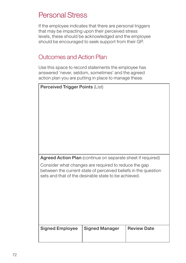#### Personal Stress

If the employee indicates that there are personal triggers that may be impacting upon their perceived stress levels, these should be acknowledged and the employee should be encouraged to seek support from their GP.

#### Outcomes and Action Plan

Use this space to record statements the employee has answered 'never, seldom, sometimes' and the agreed action plan you are putting in place to manage these.

| Perceived Trigger Points (List)                                                                                                                                                |                       |                    |  |  |  |  |  |
|--------------------------------------------------------------------------------------------------------------------------------------------------------------------------------|-----------------------|--------------------|--|--|--|--|--|
| Agreed Action Plan (continue on separate sheet if required)                                                                                                                    |                       |                    |  |  |  |  |  |
| Consider what changes are required to reduce the gap<br>between the current state of perceived beliefs in the question<br>sets and that of the desirable state to be achieved. |                       |                    |  |  |  |  |  |
| <b>Signed Employee</b>                                                                                                                                                         | <b>Signed Manager</b> | <b>Review Date</b> |  |  |  |  |  |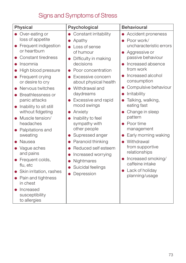### Signs and Symptoms of Stress

| Physical                                                                                                                                                                                                                                                                                                                                                                                                                                                                                                                                 | Psychological                                                                                                                                                                                                                                                                                                                                                                                                                                                                                                       | <b>Behavioural</b>                                                                                                                                                                                                                                                                                                                                                                                                                                                                             |
|------------------------------------------------------------------------------------------------------------------------------------------------------------------------------------------------------------------------------------------------------------------------------------------------------------------------------------------------------------------------------------------------------------------------------------------------------------------------------------------------------------------------------------------|---------------------------------------------------------------------------------------------------------------------------------------------------------------------------------------------------------------------------------------------------------------------------------------------------------------------------------------------------------------------------------------------------------------------------------------------------------------------------------------------------------------------|------------------------------------------------------------------------------------------------------------------------------------------------------------------------------------------------------------------------------------------------------------------------------------------------------------------------------------------------------------------------------------------------------------------------------------------------------------------------------------------------|
| • Over-eating or<br>loss of appetite<br>Frequent indigestion<br>or heartburn<br>Constant tiredness<br>Insomnia<br>High blood pressure<br>Frequent crying<br>or desire to cry<br>Nervous twitches<br>Breathlessness or<br>panic attacks<br>Inability to sit still<br>without fidgeting<br>Muscle tension/<br>headaches<br>Palpitations and<br>sweating<br>Nausea<br>Vague aches<br>and pains<br>Frequent colds,<br>flu, etc<br>Skin irritation, rashes<br>• Pain and tightness<br>in chest<br>Increased<br>susceptibility<br>to allergies | Constant irritability<br>$\bullet$<br>Apathy<br>Loss of sense<br>of humour<br>Difficulty in making<br>decisions<br>Poor concentration<br>$\bullet$<br>Excessive concern<br>about physical health<br>Withdrawal and<br>daydreams<br>Excessive and rapid<br>mood swings<br>Anxiety<br>$\bullet$<br>Inability to feel<br>sympathy with<br>other people<br>Supressed anger<br>Paranoid thinking<br>$\bullet$<br>Reduced self esteem<br>Increased worrying<br>Nightmares<br>$\bullet$<br>Suicidal feelings<br>Depression | Accident proneness<br>$\bullet$<br>Poor work/<br>uncharacteristic errors<br>Aggressive or<br>$\bullet$<br>passive behaviour<br>Increased absence<br>from work<br>Increased alcohol<br>consumption<br>Compulsive behaviour<br>Irritability<br>Talking, walking,<br>eating fast<br>Change in sleep<br>pattern<br>Poor time<br>management<br>Early morning waking<br>Withdrawal<br>from supportive<br>relationships<br>Increased smoking/<br>caffeine intake<br>Lack of holiday<br>planning/usage |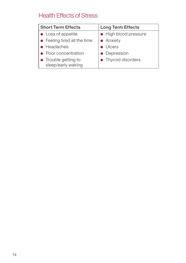#### Health Effects of Stress

| <b>Short Term Effects</b>                  | <b>Long Term Effects</b> |  |  |
|--------------------------------------------|--------------------------|--|--|
| • Loss of appetite                         | • High blood pressure    |  |  |
| • Feeling tired all the time               | • Anxiety                |  |  |
| Headaches                                  | Ulcers                   |  |  |
| Poor concentration                         | • Depression             |  |  |
| • Trouble getting to<br>sleep/early waking | • Thyroid disorders      |  |  |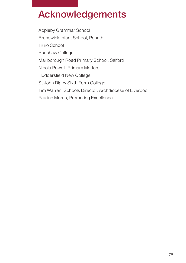# Acknowledgements

Appleby Grammar School Brunswick Infant School, Penrith Truro School Runshaw College Marlborough Road Primary School, Salford Nicola Powell, Primary Matters Huddersfield New College St John Rigby Sixth Form College Tim Warren, Schools Director, Archdiocese of Liverpool Pauline Morris, Promoting Excellence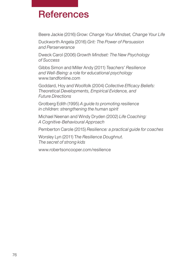## **References**

Beere Jackie (2016) *Grow: Change Your Mindset, Change Your Life*

Duckworth Angela (2016) *Grit: The Power of Persuasion and Perserverance*

Dweck Carol (2006) *Growth Mindset: The New Psychology of Success*

Gibbs Simon and Miller Andy (2011) *Teachers' Resilience and Well-Being: a role for educational psychology* www.tandfonline.com

Goddard, Hoy and Woolfolk (2004) *Collective Efficacy Beliefs: Theoretical Developments, Empirical Evidence, and Future Directions*

Grotberg Edith (1995) *A guide to promoting resilience in children: strengthening the human spirit*

Michael Neenan and Windy Dryden (2002) *Life Coaching: A Cognitive-Behavioural Approach* 

Pemberton Carole (2015) *Resilience: a practical guide for coaches*

Worsley Lyn (2011) T*he Resilience Doughnut. The secret of strong kids*

www.robertsoncooper.com/resilience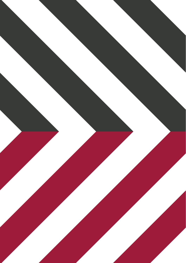